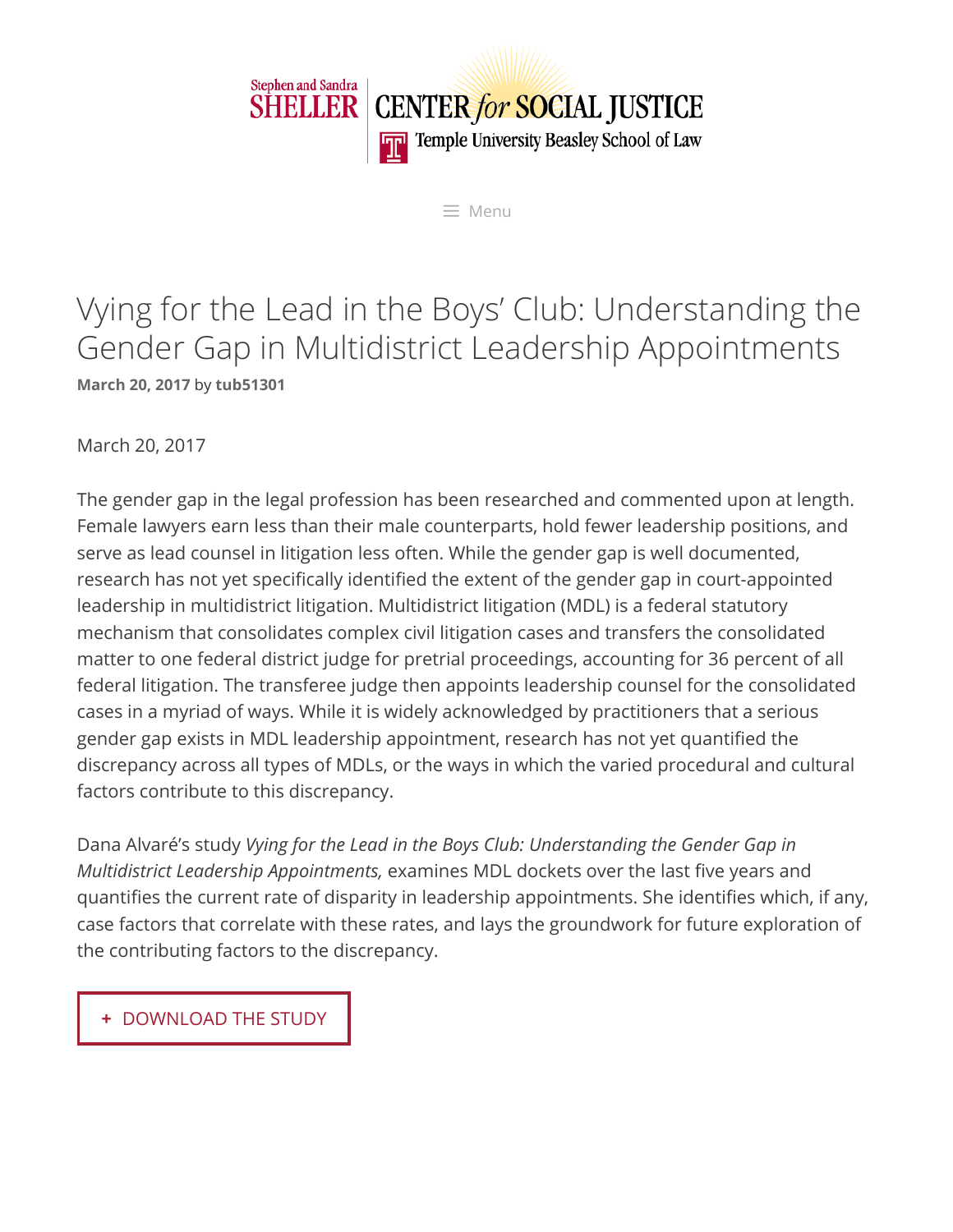

 $\equiv$  Menu

# Vying for the Lead in the Boys' Club: Understanding the Gender Gap in Multidistrict Leadership Appointments **[March](https://www2.law.temple.edu/csj/publication/mdl-study/) 20, 2017** by **[tub51301](https://www2.law.temple.edu/csj/author/tub51301/)**

March 20, 2017

The gender gap in the legal profession has been researched and commented upon at length. Female lawyers earn less than their male counterparts, hold fewer leadership positions, and serve as lead counsel in litigation less often. While the gender gap is well documented, research has not yet specifically identified the extent of the gender gap in court-appointed leadership in multidistrict litigation. Multidistrict litigation (MDL) is a federal statutory mechanism that consolidates complex civil litigation cases and transfers the consolidated matter to one federal district judge for pretrial proceedings, accounting for 36 percent of all federal litigation. The transferee judge then appoints leadership counsel for the consolidated cases in a myriad of ways. While it is widely acknowledged by practitioners that a serious gender gap exists in MDL leadership appointment, research has not yet quantified the discrepancy across all types of MDLs, or the ways in which the varied procedural and cultural factors contribute to this discrepancy.

Dana Alvaré's study *Vying for the Lead in the Boys Club: Understanding the Gender Gap in Multidistrict Leadership Appointments,* examines MDL dockets over the last five years and quantifies the current rate of disparity in leadership appointments. She identifies which, if any, case factors that correlate with these rates, and lays the groundwork for future exploration of the contributing factors to the discrepancy.

**+** [DOWNLOAD THE STUDY](https://www2.law.temple.edu/csj/cms/wp-content/uploads/2017/03/Vying-for-Lead-in-the-Boys-Club.pdf)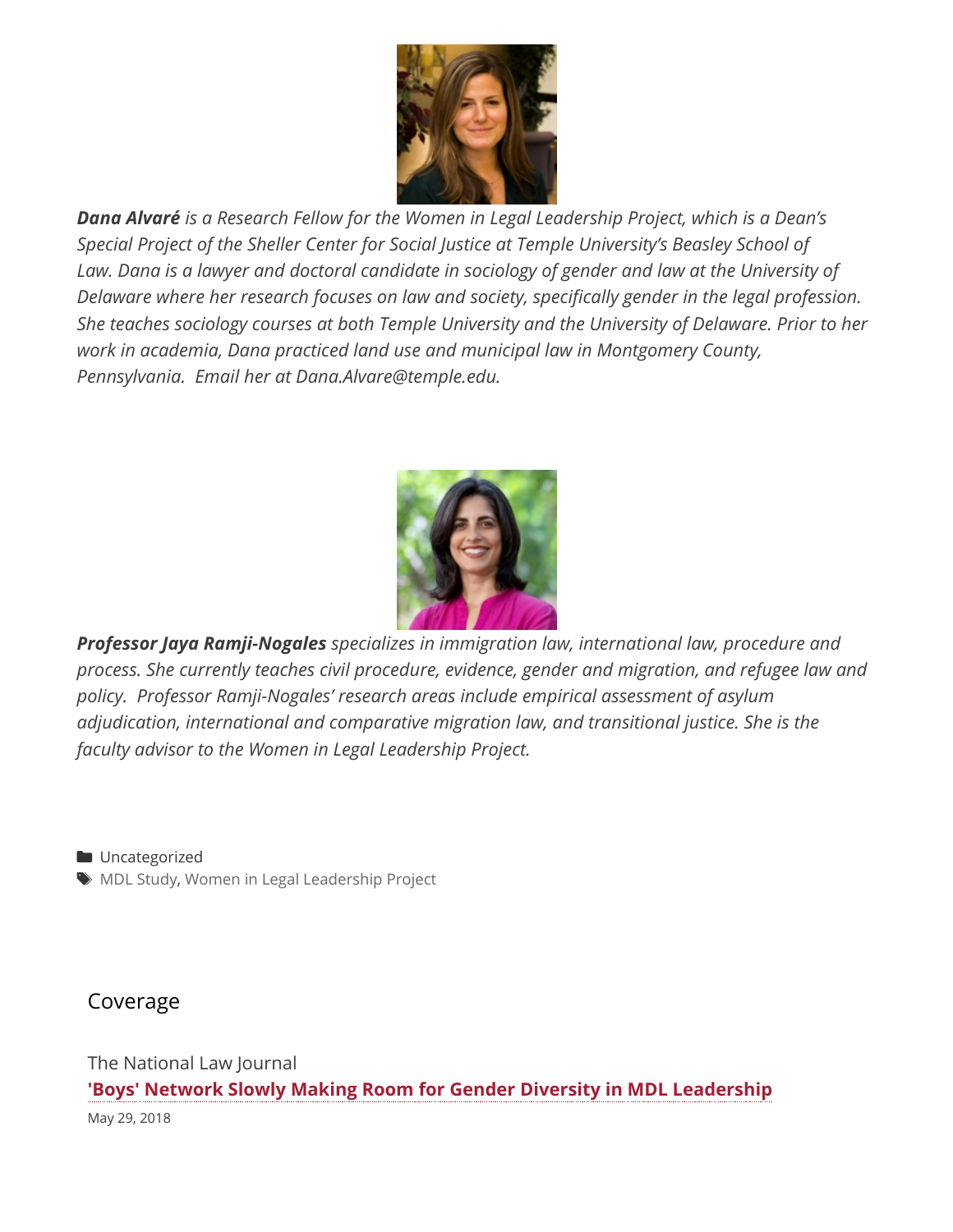

*Dana Alvaré is a Research Fellow for the Women in Legal Leadership Project, which is a Dean's Special Project of the Sheller Center for Social Justice at Temple University's Beasley School of Law. Dana is a lawyer and doctoral candidate in sociology of gender and law at the University of Delaware where her research focuses on law and society, specifically gender in the legal profession. She teaches sociology courses at both Temple University and the University of Delaware. Prior to her work in academia, Dana practiced land use and municipal law in Montgomery County, Pennsylvania. Email her at Dana.Alvare@temple.edu.* 



*Professor Jaya Ramji-Nogales specializes in immigration law, international law, procedure and process. She currently teaches civil procedure, evidence, gender and migration, and refugee law and policy. Professor Ramji-Nogales' research areas include empirical assessment of asylum adjudication, international and comparative migration law, and transitional justice. She is the faculty advisor to the Women in Legal Leadership Project.*

**Uncategorized**  $\blacklozenge$  MDL [Study](https://www2.law.temple.edu/csj/tag/mdl-study/), Women in Legal [Leadership Project](https://www2.law.temple.edu/csj/tag/women-in-legal-leadership-project/)

Coverage

The National Law Journal **['Boys' Network Slowly Making Room for Gender Diversity in MDL Leadership](https://www.law.com/nationallawjournal/2018/05/29/boys-network-slowly-making-room-for-gender-diversity-in-mdl-leadership/?slreturn=20180431075051)** May 29, 2018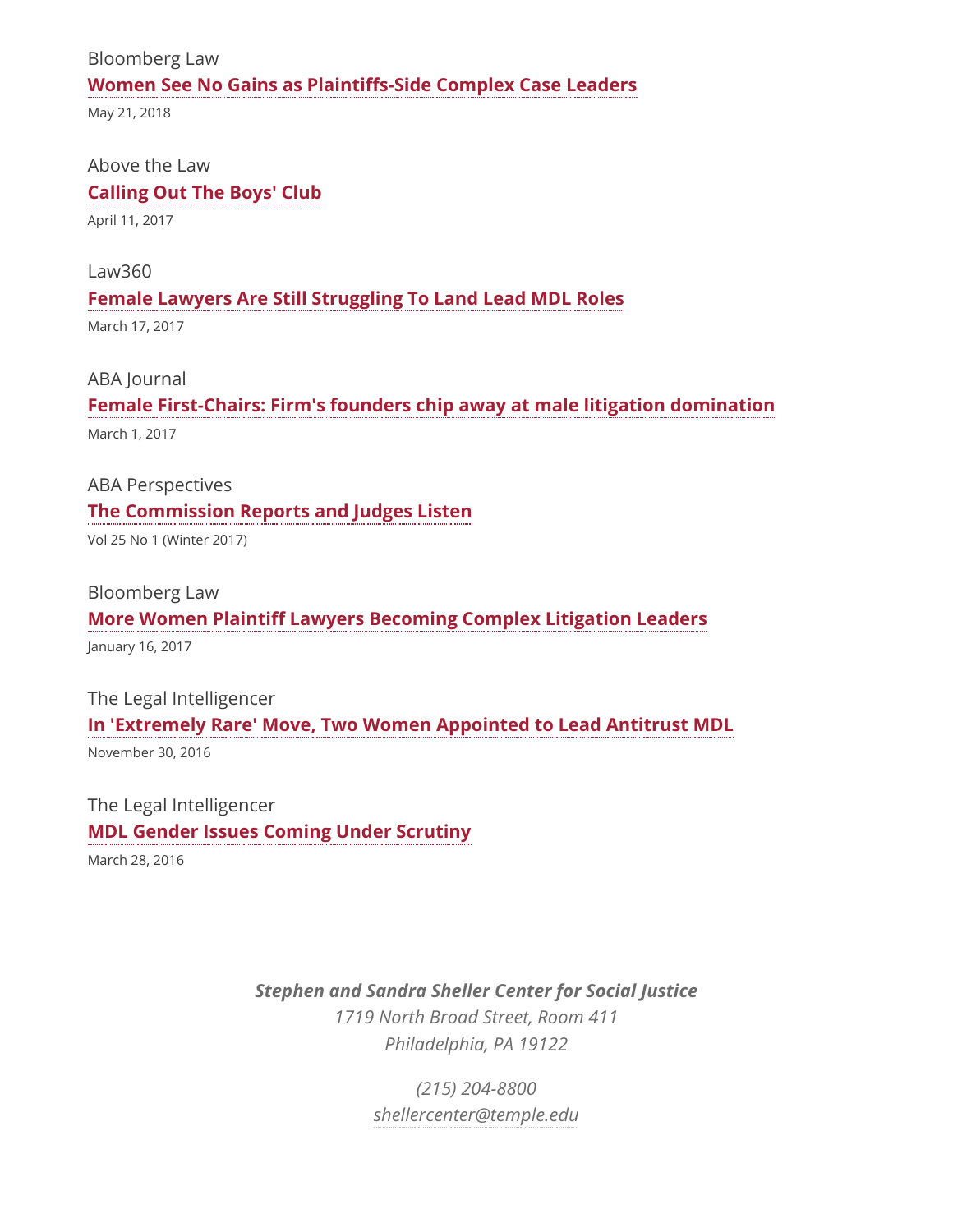#### Bloomberg Law

#### **Women See No Gains as Plaintiffs-Side Complex Case Leaders**

May 21, 2018

#### Above the Law

#### **[Calling Out The Boys' Club](http://abovethelaw.com/2017/04/calling-out-the-boys-club/)**

April 11, 2017

#### Law360

#### **[Female Lawyers Are Still Struggling To Land Lead MDL Roles](https://www.law360.com/articles/899783/female-lawyers-are-still-struggling-to-land-lead-mdl-roles)**

March 17, 2017

#### ABA Journal

## **[Female First-Chairs: Firm's founders chip away at male litigation domination](http://www.abajournal.com/magazine/article/female_first_chairs)**

March 1, 2017

ABA Perspectives

#### **[The Commission Reports and Judges Listen](https://www.americanbar.org/publications/perspectives/2017/winter/the_commission_reports_and_judges_listen.html)**

Vol 25 No 1 (Winter 2017)

#### Bloomberg Law

#### **More Women Plaintiff Lawyers Becoming Complex Litigation Leaders**

January 16, 2017

# The Legal Intelligencer **[In 'Extremely Rare' Move, Two Women Appointed to Lead Antitrust MDL](http://www.thelegalintelligencer.com/id=1202773459170/In-Extremely-Rare-Move-Two-Women-Appointed-to-Lead-Antitrust-MDL?mcode=0&curindex=0&curpage=2&slreturn=20170222095526)** November 30, 2016

The Legal Intelligencer **[MDL Gender Issues Coming Under Scrutiny](http://www.thelegalintelligencer.com/id=1202753459978/MDL-Gender-Issues-Coming-Under-Scrutiny)**

March 28, 2016

### *Stephen and Sandra Sheller Center for Social Justice*

*1719 North Broad Street, Room 411 Philadelphia, PA 19122*

> *(215) 204-8800 [shellercenter@temple.edu](mailto:shellercenter@temple.edu)*